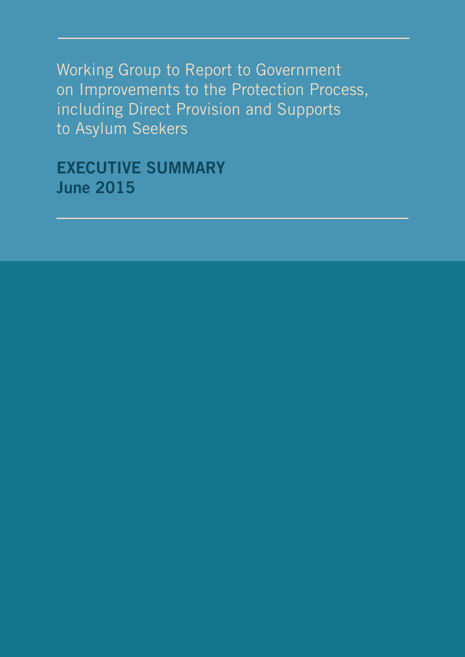Working Group to Report to Government on Improvements to the Protection Process, including Direct Provision and Supports to Asylum Seekers

**EXECUTIVE SUMMARY June 2015**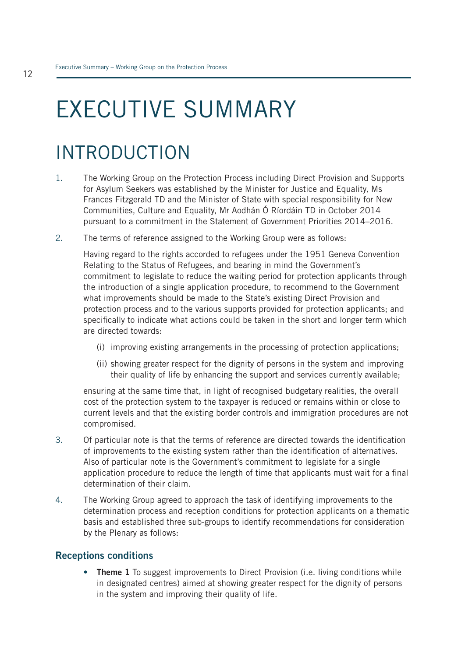# EXECUTIVE SUMMARY

## INTRODUCTION

- 1. The Working Group on the Protection Process including Direct Provision and Supports for Asylum Seekers was established by the Minister for Justice and Equality, Ms Frances Fitzgerald TD and the Minister of State with special responsibility for New Communities, Culture and Equality, Mr Aodhán Ó Ríordáin TD in October 2014 pursuant to a commitment in the Statement of Government Priorities 2014–2016.
- 2. The terms of reference assigned to the Working Group were as follows:

Having regard to the rights accorded to refugees under the 1951 Geneva Convention Relating to the Status of Refugees, and bearing in mind the Government's commitment to legislate to reduce the waiting period for protection applicants through the introduction of a single application procedure, to recommend to the Government what improvements should be made to the State's existing Direct Provision and protection process and to the various supports provided for protection applicants; and specifically to indicate what actions could be taken in the short and longer term which are directed towards:

- (i) improving existing arrangements in the processing of protection applications;
- (ii) showing greater respect for the dignity of persons in the system and improving their quality of life by enhancing the support and services currently available;

ensuring at the same time that, in light of recognised budgetary realities, the overall cost of the protection system to the taxpayer is reduced or remains within or close to current levels and that the existing border controls and immigration procedures are not compromised.

- 3. Of particular note is that the terms of reference are directed towards the identification of improvements to the existing system rather than the identification of alternatives. Also of particular note is the Government's commitment to legislate for a single application procedure to reduce the length of time that applicants must wait for a final determination of their claim.
- 4. The Working Group agreed to approach the task of identifying improvements to the determination process and reception conditions for protection applicants on a thematic basis and established three sub-groups to identify recommendations for consideration by the Plenary as follows:

#### **Receptions conditions**

• **Theme 1** To suggest improvements to Direct Provision (i.e. living conditions while in designated centres) aimed at showing greater respect for the dignity of persons in the system and improving their quality of life.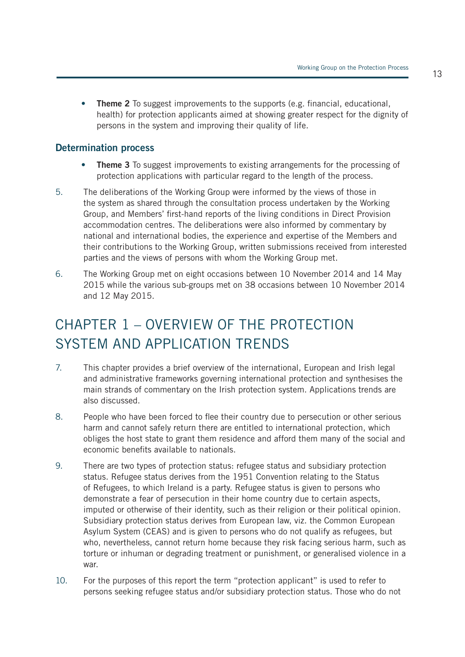• **Theme 2** To suggest improvements to the supports (e.g. financial, educational, health) for protection applicants aimed at showing greater respect for the dignity of persons in the system and improving their quality of life.

#### **Determination process**

- **Theme 3** To suggest improvements to existing arrangements for the processing of protection applications with particular regard to the length of the process.
- 5. The deliberations of the Working Group were informed by the views of those in the system as shared through the consultation process undertaken by the Working Group, and Members' first-hand reports of the living conditions in Direct Provision accommodation centres. The deliberations were also informed by commentary by national and international bodies, the experience and expertise of the Members and their contributions to the Working Group, written submissions received from interested parties and the views of persons with whom the Working Group met.
- 6. The Working Group met on eight occasions between 10 November 2014 and 14 May 2015 while the various sub-groups met on 38 occasions between 10 November 2014 and 12 May 2015.

### CHAPTER 1 – OVERVIEW OF THE PROTECTION SYSTEM AND APPLICATION TRENDS

- 7. This chapter provides a brief overview of the international, European and Irish legal and administrative frameworks governing international protection and synthesises the main strands of commentary on the Irish protection system. Applications trends are also discussed.
- 8. People who have been forced to flee their country due to persecution or other serious harm and cannot safely return there are entitled to international protection, which obliges the host state to grant them residence and afford them many of the social and economic benefits available to nationals.
- 9. There are two types of protection status: refugee status and subsidiary protection status. Refugee status derives from the 1951 Convention relating to the Status of Refugees, to which Ireland is a party. Refugee status is given to persons who demonstrate a fear of persecution in their home country due to certain aspects, imputed or otherwise of their identity, such as their religion or their political opinion. Subsidiary protection status derives from European law, viz. the Common European Asylum System (CEAS) and is given to persons who do not qualify as refugees, but who, nevertheless, cannot return home because they risk facing serious harm, such as torture or inhuman or degrading treatment or punishment, or generalised violence in a war.
- 10. For the purposes of this report the term "protection applicant" is used to refer to persons seeking refugee status and/or subsidiary protection status. Those who do not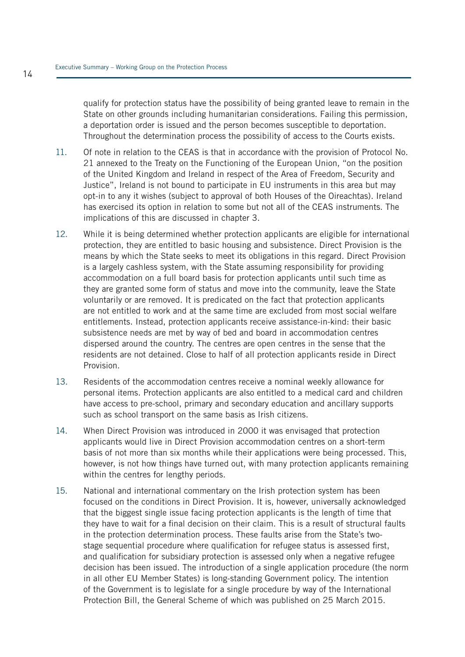qualify for protection status have the possibility of being granted leave to remain in the State on other grounds including humanitarian considerations. Failing this permission, a deportation order is issued and the person becomes susceptible to deportation. Throughout the determination process the possibility of access to the Courts exists.

- 11. Of note in relation to the CEAS is that in accordance with the provision of Protocol No. 21 annexed to the Treaty on the Functioning of the European Union, "on the position of the United Kingdom and Ireland in respect of the Area of Freedom, Security and Justice", Ireland is not bound to participate in EU instruments in this area but may opt-in to any it wishes (subject to approval of both Houses of the Oireachtas). Ireland has exercised its option in relation to some but not all of the CEAS instruments. The implications of this are discussed in chapter 3.
- 12. While it is being determined whether protection applicants are eligible for international protection, they are entitled to basic housing and subsistence. Direct Provision is the means by which the State seeks to meet its obligations in this regard. Direct Provision is a largely cashless system, with the State assuming responsibility for providing accommodation on a full board basis for protection applicants until such time as they are granted some form of status and move into the community, leave the State voluntarily or are removed. It is predicated on the fact that protection applicants are not entitled to work and at the same time are excluded from most social welfare entitlements. Instead, protection applicants receive assistance-in-kind: their basic subsistence needs are met by way of bed and board in accommodation centres dispersed around the country. The centres are open centres in the sense that the residents are not detained. Close to half of all protection applicants reside in Direct Provision.
- 13. Residents of the accommodation centres receive a nominal weekly allowance for personal items. Protection applicants are also entitled to a medical card and children have access to pre-school, primary and secondary education and ancillary supports such as school transport on the same basis as Irish citizens.
- 14. When Direct Provision was introduced in 2000 it was envisaged that protection applicants would live in Direct Provision accommodation centres on a short-term basis of not more than six months while their applications were being processed. This, however, is not how things have turned out, with many protection applicants remaining within the centres for lengthy periods.
- 15. National and international commentary on the Irish protection system has been focused on the conditions in Direct Provision. It is, however, universally acknowledged that the biggest single issue facing protection applicants is the length of time that they have to wait for a final decision on their claim. This is a result of structural faults in the protection determination process. These faults arise from the State's twostage sequential procedure where qualification for refugee status is assessed first, and qualification for subsidiary protection is assessed only when a negative refugee decision has been issued. The introduction of a single application procedure (the norm in all other EU Member States) is long-standing Government policy. The intention of the Government is to legislate for a single procedure by way of the International Protection Bill, the General Scheme of which was published on 25 March 2015.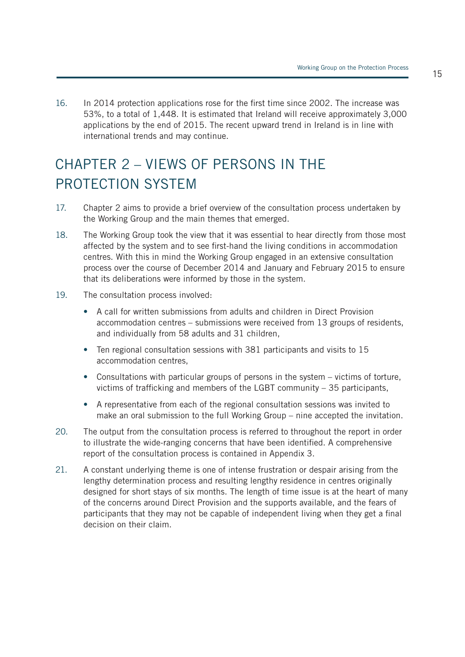16. In 2014 protection applications rose for the first time since 2002. The increase was 53%, to a total of 1,448. It is estimated that Ireland will receive approximately 3,000 applications by the end of 2015. The recent upward trend in Ireland is in line with international trends and may continue.

### CHAPTER 2 – VIEWS OF PERSONS IN THE PROTECTION SYSTEM

- 17. Chapter 2 aims to provide a brief overview of the consultation process undertaken by the Working Group and the main themes that emerged.
- 18. The Working Group took the view that it was essential to hear directly from those most affected by the system and to see first-hand the living conditions in accommodation centres. With this in mind the Working Group engaged in an extensive consultation process over the course of December 2014 and January and February 2015 to ensure that its deliberations were informed by those in the system.
- 19. The consultation process involved:
	- A call for written submissions from adults and children in Direct Provision accommodation centres – submissions were received from 13 groups of residents, and individually from 58 adults and 31 children,
	- Ten regional consultation sessions with 381 participants and visits to 15 accommodation centres,
	- Consultations with particular groups of persons in the system victims of torture, victims of trafficking and members of the LGBT community – 35 participants,
	- A representative from each of the regional consultation sessions was invited to make an oral submission to the full Working Group – nine accepted the invitation.
- 20. The output from the consultation process is referred to throughout the report in order to illustrate the wide-ranging concerns that have been identified. A comprehensive report of the consultation process is contained in Appendix 3.
- 21. A constant underlying theme is one of intense frustration or despair arising from the lengthy determination process and resulting lengthy residence in centres originally designed for short stays of six months. The length of time issue is at the heart of many of the concerns around Direct Provision and the supports available, and the fears of participants that they may not be capable of independent living when they get a final decision on their claim.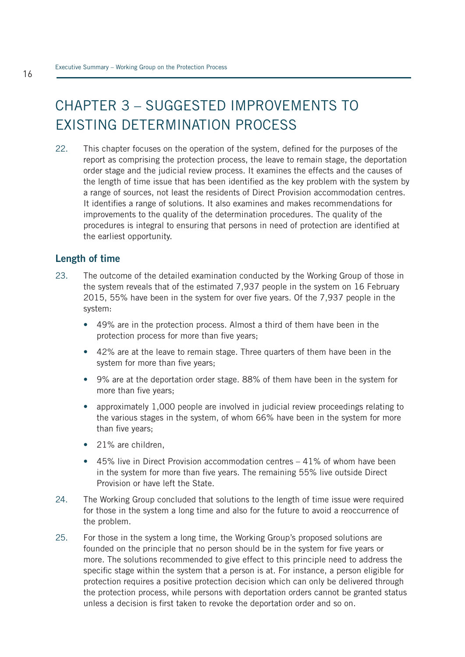### CHAPTER 3 – SUGGESTED IMPROVEMENTS TO EXISTING DETERMINATION PROCESS

22. This chapter focuses on the operation of the system, defined for the purposes of the report as comprising the protection process, the leave to remain stage, the deportation order stage and the judicial review process. It examines the effects and the causes of the length of time issue that has been identified as the key problem with the system by a range of sources, not least the residents of Direct Provision accommodation centres. It identifies a range of solutions. It also examines and makes recommendations for improvements to the quality of the determination procedures. The quality of the procedures is integral to ensuring that persons in need of protection are identified at the earliest opportunity.

#### **Length of time**

- 23. The outcome of the detailed examination conducted by the Working Group of those in the system reveals that of the estimated 7,937 people in the system on 16 February 2015, 55% have been in the system for over five years. Of the 7,937 people in the system:
	- 49% are in the protection process. Almost a third of them have been in the protection process for more than five years;
	- 42% are at the leave to remain stage. Three quarters of them have been in the system for more than five years;
	- 9% are at the deportation order stage. 88% of them have been in the system for more than five years;
	- approximately 1,000 people are involved in judicial review proceedings relating to the various stages in the system, of whom 66% have been in the system for more than five years;
	- 21% are children.
	- 45% live in Direct Provision accommodation centres 41% of whom have been in the system for more than five years. The remaining 55% live outside Direct Provision or have left the State.
- 24. The Working Group concluded that solutions to the length of time issue were required for those in the system a long time and also for the future to avoid a reoccurrence of the problem.
- 25. For those in the system a long time, the Working Group's proposed solutions are founded on the principle that no person should be in the system for five years or more. The solutions recommended to give effect to this principle need to address the specific stage within the system that a person is at. For instance, a person eligible for protection requires a positive protection decision which can only be delivered through the protection process, while persons with deportation orders cannot be granted status unless a decision is first taken to revoke the deportation order and so on.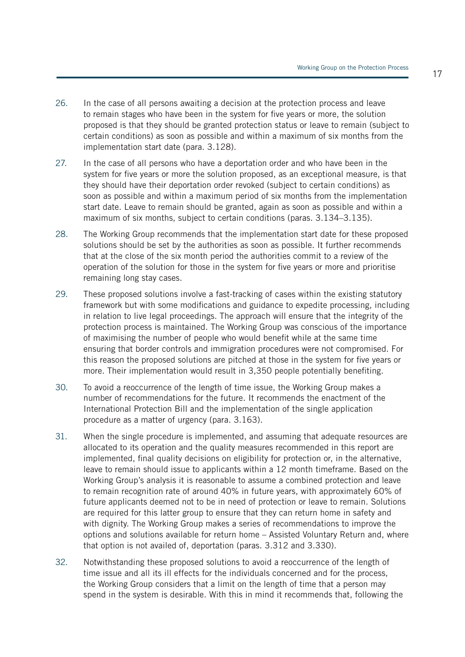- 26. In the case of all persons awaiting a decision at the protection process and leave to remain stages who have been in the system for five years or more, the solution proposed is that they should be granted protection status or leave to remain (subject to certain conditions) as soon as possible and within a maximum of six months from the implementation start date (para. 3.128).
- 27. In the case of all persons who have a deportation order and who have been in the system for five years or more the solution proposed, as an exceptional measure, is that they should have their deportation order revoked (subject to certain conditions) as soon as possible and within a maximum period of six months from the implementation start date. Leave to remain should be granted, again as soon as possible and within a maximum of six months, subject to certain conditions (paras. 3.134–3.135).
- 28. The Working Group recommends that the implementation start date for these proposed solutions should be set by the authorities as soon as possible. It further recommends that at the close of the six month period the authorities commit to a review of the operation of the solution for those in the system for five years or more and prioritise remaining long stay cases.
- 29. These proposed solutions involve a fast-tracking of cases within the existing statutory framework but with some modifications and guidance to expedite processing, including in relation to live legal proceedings. The approach will ensure that the integrity of the protection process is maintained. The Working Group was conscious of the importance of maximising the number of people who would benefit while at the same time ensuring that border controls and immigration procedures were not compromised. For this reason the proposed solutions are pitched at those in the system for five years or more. Their implementation would result in 3,350 people potentially benefiting.
- 30. To avoid a reoccurrence of the length of time issue, the Working Group makes a number of recommendations for the future. It recommends the enactment of the International Protection Bill and the implementation of the single application procedure as a matter of urgency (para. 3.163).
- 31. When the single procedure is implemented, and assuming that adequate resources are allocated to its operation and the quality measures recommended in this report are implemented, final quality decisions on eligibility for protection or, in the alternative, leave to remain should issue to applicants within a 12 month timeframe. Based on the Working Group's analysis it is reasonable to assume a combined protection and leave to remain recognition rate of around 40% in future years, with approximately 60% of future applicants deemed not to be in need of protection or leave to remain. Solutions are required for this latter group to ensure that they can return home in safety and with dignity. The Working Group makes a series of recommendations to improve the options and solutions available for return home – Assisted Voluntary Return and, where that option is not availed of, deportation (paras. 3.312 and 3.330).
- 32. Notwithstanding these proposed solutions to avoid a reoccurrence of the length of time issue and all its ill effects for the individuals concerned and for the process, the Working Group considers that a limit on the length of time that a person may spend in the system is desirable. With this in mind it recommends that, following the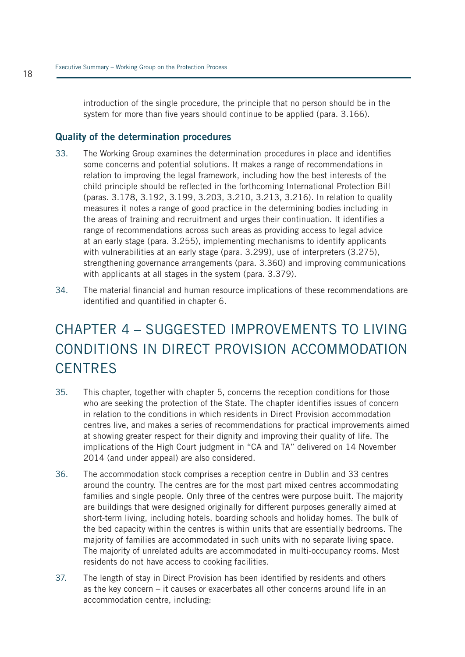introduction of the single procedure, the principle that no person should be in the system for more than five years should continue to be applied (para. 3.166).

#### **Quality of the determination procedures**

- 33. The Working Group examines the determination procedures in place and identifies some concerns and potential solutions. It makes a range of recommendations in relation to improving the legal framework, including how the best interests of the child principle should be reflected in the forthcoming International Protection Bill (paras. 3.178, 3.192, 3.199, 3.203, 3.210, 3.213, 3.216). In relation to quality measures it notes a range of good practice in the determining bodies including in the areas of training and recruitment and urges their continuation. It identifies a range of recommendations across such areas as providing access to legal advice at an early stage (para. 3.255), implementing mechanisms to identify applicants with vulnerabilities at an early stage (para. 3.299), use of interpreters (3.275). strengthening governance arrangements (para. 3.360) and improving communications with applicants at all stages in the system (para. 3.379).
- 34. The material financial and human resource implications of these recommendations are identified and quantified in chapter 6.

### CHAPTER 4 – SUGGESTED IMPROVEMENTS TO LIVING CONDITIONS IN DIRECT PROVISION ACCOMMODATION **CENTRES**

- 35. This chapter, together with chapter 5, concerns the reception conditions for those who are seeking the protection of the State. The chapter identifies issues of concern in relation to the conditions in which residents in Direct Provision accommodation centres live, and makes a series of recommendations for practical improvements aimed at showing greater respect for their dignity and improving their quality of life. The implications of the High Court judgment in "CA and TA" delivered on 14 November 2014 (and under appeal) are also considered.
- 36. The accommodation stock comprises a reception centre in Dublin and 33 centres around the country. The centres are for the most part mixed centres accommodating families and single people. Only three of the centres were purpose built. The majority are buildings that were designed originally for different purposes generally aimed at short-term living, including hotels, boarding schools and holiday homes. The bulk of the bed capacity within the centres is within units that are essentially bedrooms. The majority of families are accommodated in such units with no separate living space. The majority of unrelated adults are accommodated in multi-occupancy rooms. Most residents do not have access to cooking facilities.
- 37. The length of stay in Direct Provision has been identified by residents and others as the key concern – it causes or exacerbates all other concerns around life in an accommodation centre, including: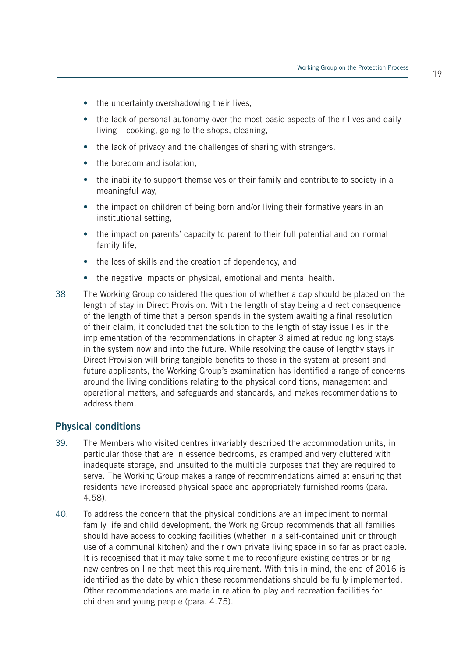- the uncertainty overshadowing their lives,
- the lack of personal autonomy over the most basic aspects of their lives and daily living – cooking, going to the shops, cleaning,
- the lack of privacy and the challenges of sharing with strangers,
- the boredom and isolation,
- the inability to support themselves or their family and contribute to society in a meaningful way,
- the impact on children of being born and/or living their formative years in an institutional setting,
- the impact on parents' capacity to parent to their full potential and on normal family life,
- the loss of skills and the creation of dependency, and
- the negative impacts on physical, emotional and mental health.
- 38. The Working Group considered the question of whether a cap should be placed on the length of stay in Direct Provision. With the length of stay being a direct consequence of the length of time that a person spends in the system awaiting a final resolution of their claim, it concluded that the solution to the length of stay issue lies in the implementation of the recommendations in chapter 3 aimed at reducing long stays in the system now and into the future. While resolving the cause of lengthy stays in Direct Provision will bring tangible benefits to those in the system at present and future applicants, the Working Group's examination has identified a range of concerns around the living conditions relating to the physical conditions, management and operational matters, and safeguards and standards, and makes recommendations to address them.

#### **Physical conditions**

- 39. The Members who visited centres invariably described the accommodation units, in particular those that are in essence bedrooms, as cramped and very cluttered with inadequate storage, and unsuited to the multiple purposes that they are required to serve. The Working Group makes a range of recommendations aimed at ensuring that residents have increased physical space and appropriately furnished rooms (para. 4.58).
- 40. To address the concern that the physical conditions are an impediment to normal family life and child development, the Working Group recommends that all families should have access to cooking facilities (whether in a self-contained unit or through use of a communal kitchen) and their own private living space in so far as practicable. It is recognised that it may take some time to reconfigure existing centres or bring new centres on line that meet this requirement. With this in mind, the end of 2016 is identified as the date by which these recommendations should be fully implemented. Other recommendations are made in relation to play and recreation facilities for children and young people (para. 4.75).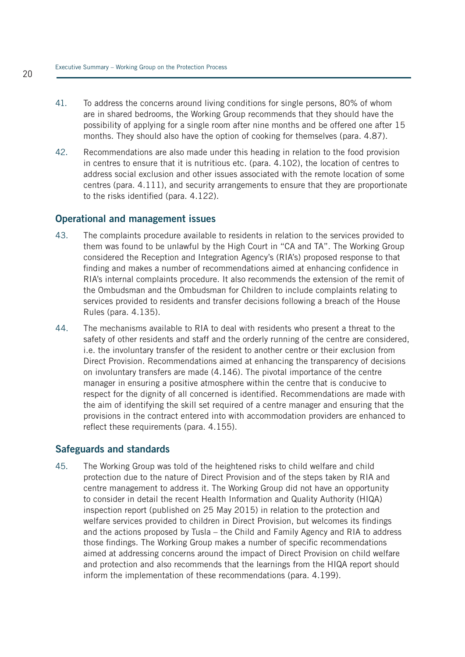- 41. To address the concerns around living conditions for single persons, 80% of whom are in shared bedrooms, the Working Group recommends that they should have the possibility of applying for a single room after nine months and be offered one after 15 months. They should also have the option of cooking for themselves (para. 4.87).
- 42. Recommendations are also made under this heading in relation to the food provision in centres to ensure that it is nutritious etc. (para. 4.102), the location of centres to address social exclusion and other issues associated with the remote location of some centres (para. 4.111), and security arrangements to ensure that they are proportionate to the risks identified (para. 4.122).

#### **Operational and management issues**

- 43. The complaints procedure available to residents in relation to the services provided to them was found to be unlawful by the High Court in "CA and TA". The Working Group considered the Reception and Integration Agency's (RIA's) proposed response to that finding and makes a number of recommendations aimed at enhancing confidence in RIA's internal complaints procedure. It also recommends the extension of the remit of the Ombudsman and the Ombudsman for Children to include complaints relating to services provided to residents and transfer decisions following a breach of the House Rules (para. 4.135).
- 44. The mechanisms available to RIA to deal with residents who present a threat to the safety of other residents and staff and the orderly running of the centre are considered, i.e. the involuntary transfer of the resident to another centre or their exclusion from Direct Provision. Recommendations aimed at enhancing the transparency of decisions on involuntary transfers are made (4.146). The pivotal importance of the centre manager in ensuring a positive atmosphere within the centre that is conducive to respect for the dignity of all concerned is identified. Recommendations are made with the aim of identifying the skill set required of a centre manager and ensuring that the provisions in the contract entered into with accommodation providers are enhanced to reflect these requirements (para. 4.155).

#### **Safeguards and standards**

45. The Working Group was told of the heightened risks to child welfare and child protection due to the nature of Direct Provision and of the steps taken by RIA and centre management to address it. The Working Group did not have an opportunity to consider in detail the recent Health Information and Quality Authority (HIQA) inspection report (published on 25 May 2015) in relation to the protection and welfare services provided to children in Direct Provision, but welcomes its findings and the actions proposed by Tusla – the Child and Family Agency and RIA to address those findings. The Working Group makes a number of specific recommendations aimed at addressing concerns around the impact of Direct Provision on child welfare and protection and also recommends that the learnings from the HIQA report should inform the implementation of these recommendations (para. 4.199).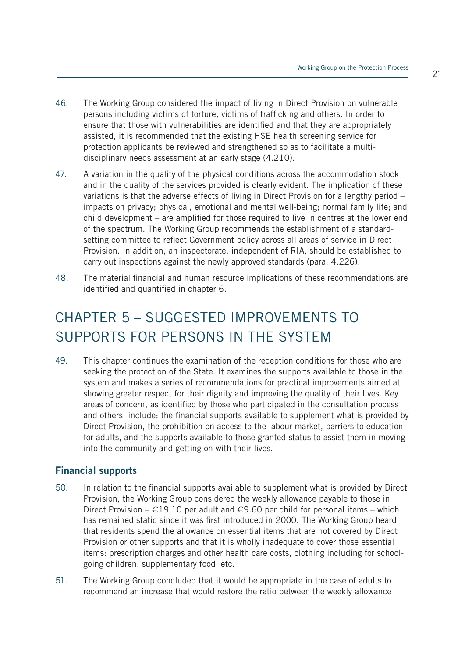- 46. The Working Group considered the impact of living in Direct Provision on vulnerable persons including victims of torture, victims of trafficking and others. In order to ensure that those with vulnerabilities are identified and that they are appropriately assisted, it is recommended that the existing HSE health screening service for protection applicants be reviewed and strengthened so as to facilitate a multidisciplinary needs assessment at an early stage (4.210).
- 47. A variation in the quality of the physical conditions across the accommodation stock and in the quality of the services provided is clearly evident. The implication of these variations is that the adverse effects of living in Direct Provision for a lengthy period impacts on privacy; physical, emotional and mental well-being; normal family life; and child development – are amplified for those required to live in centres at the lower end of the spectrum. The Working Group recommends the establishment of a standardsetting committee to reflect Government policy across all areas of service in Direct Provision. In addition, an inspectorate, independent of RIA, should be established to carry out inspections against the newly approved standards (para. 4.226).
- 48. The material financial and human resource implications of these recommendations are identified and quantified in chapter 6.

### CHAPTER 5 – SUGGESTED IMPROVEMENTS TO SUPPORTS FOR PERSONS IN THE SYSTEM

49. This chapter continues the examination of the reception conditions for those who are seeking the protection of the State. It examines the supports available to those in the system and makes a series of recommendations for practical improvements aimed at showing greater respect for their dignity and improving the quality of their lives. Key areas of concern, as identified by those who participated in the consultation process and others, include: the financial supports available to supplement what is provided by Direct Provision, the prohibition on access to the labour market, barriers to education for adults, and the supports available to those granted status to assist them in moving into the community and getting on with their lives.

#### **Financial supports**

- 50. In relation to the financial supports available to supplement what is provided by Direct Provision, the Working Group considered the weekly allowance payable to those in Direct Provision – €19.10 per adult and €9.60 per child for personal items – which has remained static since it was first introduced in 2000. The Working Group heard that residents spend the allowance on essential items that are not covered by Direct Provision or other supports and that it is wholly inadequate to cover those essential items: prescription charges and other health care costs, clothing including for schoolgoing children, supplementary food, etc.
- 51. The Working Group concluded that it would be appropriate in the case of adults to recommend an increase that would restore the ratio between the weekly allowance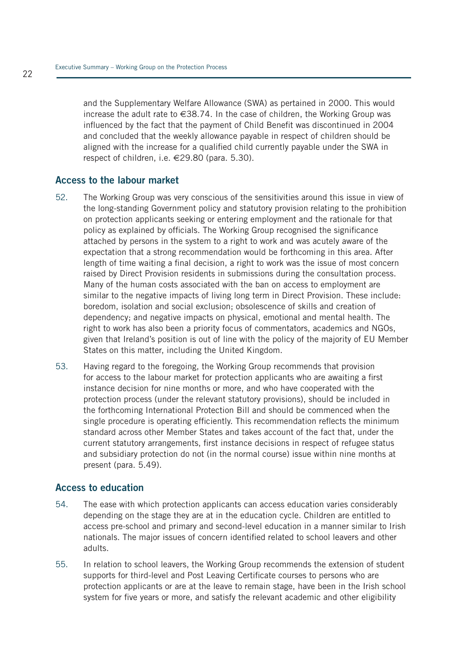and the Supplementary Welfare Allowance (SWA) as pertained in 2000. This would increase the adult rate to  $\in$ 38.74. In the case of children, the Working Group was influenced by the fact that the payment of Child Benefit was discontinued in 2004 and concluded that the weekly allowance payable in respect of children should be aligned with the increase for a qualified child currently payable under the SWA in respect of children, i.e. €29.80 (para. 5.30).

#### **Access to the labour market**

- 52. The Working Group was very conscious of the sensitivities around this issue in view of the long-standing Government policy and statutory provision relating to the prohibition on protection applicants seeking or entering employment and the rationale for that policy as explained by officials. The Working Group recognised the significance attached by persons in the system to a right to work and was acutely aware of the expectation that a strong recommendation would be forthcoming in this area. After length of time waiting a final decision, a right to work was the issue of most concern raised by Direct Provision residents in submissions during the consultation process. Many of the human costs associated with the ban on access to employment are similar to the negative impacts of living long term in Direct Provision. These include: boredom, isolation and social exclusion; obsolescence of skills and creation of dependency; and negative impacts on physical, emotional and mental health. The right to work has also been a priority focus of commentators, academics and NGOs, given that Ireland's position is out of line with the policy of the majority of EU Member States on this matter, including the United Kingdom.
- 53. Having regard to the foregoing, the Working Group recommends that provision for access to the labour market for protection applicants who are awaiting a first instance decision for nine months or more, and who have cooperated with the protection process (under the relevant statutory provisions), should be included in the forthcoming International Protection Bill and should be commenced when the single procedure is operating efficiently. This recommendation reflects the minimum standard across other Member States and takes account of the fact that, under the current statutory arrangements, first instance decisions in respect of refugee status and subsidiary protection do not (in the normal course) issue within nine months at present (para. 5.49).

#### **Access to education**

- 54. The ease with which protection applicants can access education varies considerably depending on the stage they are at in the education cycle. Children are entitled to access pre-school and primary and second-level education in a manner similar to Irish nationals. The major issues of concern identified related to school leavers and other adults.
- 55. In relation to school leavers, the Working Group recommends the extension of student supports for third-level and Post Leaving Certificate courses to persons who are protection applicants or are at the leave to remain stage, have been in the Irish school system for five years or more, and satisfy the relevant academic and other eligibility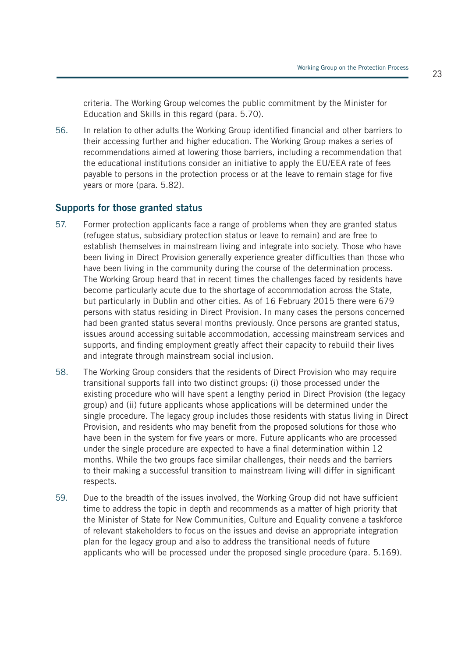criteria. The Working Group welcomes the public commitment by the Minister for Education and Skills in this regard (para. 5.70).

56. In relation to other adults the Working Group identified financial and other barriers to their accessing further and higher education. The Working Group makes a series of recommendations aimed at lowering those barriers, including a recommendation that the educational institutions consider an initiative to apply the EU/EEA rate of fees payable to persons in the protection process or at the leave to remain stage for five years or more (para. 5.82).

#### **Supports for those granted status**

- 57. Former protection applicants face a range of problems when they are granted status (refugee status, subsidiary protection status or leave to remain) and are free to establish themselves in mainstream living and integrate into society. Those who have been living in Direct Provision generally experience greater difficulties than those who have been living in the community during the course of the determination process. The Working Group heard that in recent times the challenges faced by residents have become particularly acute due to the shortage of accommodation across the State, but particularly in Dublin and other cities. As of 16 February 2015 there were 679 persons with status residing in Direct Provision. In many cases the persons concerned had been granted status several months previously. Once persons are granted status, issues around accessing suitable accommodation, accessing mainstream services and supports, and finding employment greatly affect their capacity to rebuild their lives and integrate through mainstream social inclusion.
- 58. The Working Group considers that the residents of Direct Provision who may require transitional supports fall into two distinct groups: (i) those processed under the existing procedure who will have spent a lengthy period in Direct Provision (the legacy group) and (ii) future applicants whose applications will be determined under the single procedure. The legacy group includes those residents with status living in Direct Provision, and residents who may benefit from the proposed solutions for those who have been in the system for five years or more. Future applicants who are processed under the single procedure are expected to have a final determination within 12 months. While the two groups face similar challenges, their needs and the barriers to their making a successful transition to mainstream living will differ in significant respects.
- 59. Due to the breadth of the issues involved, the Working Group did not have sufficient time to address the topic in depth and recommends as a matter of high priority that the Minister of State for New Communities, Culture and Equality convene a taskforce of relevant stakeholders to focus on the issues and devise an appropriate integration plan for the legacy group and also to address the transitional needs of future applicants who will be processed under the proposed single procedure (para. 5.169).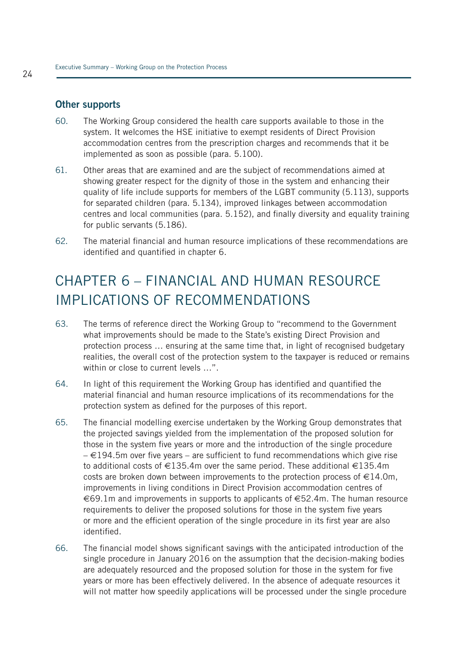#### **Other supports**

- 60. The Working Group considered the health care supports available to those in the system. It welcomes the HSE initiative to exempt residents of Direct Provision accommodation centres from the prescription charges and recommends that it be implemented as soon as possible (para. 5.100).
- 61. Other areas that are examined and are the subject of recommendations aimed at showing greater respect for the dignity of those in the system and enhancing their quality of life include supports for members of the LGBT community (5.113), supports for separated children (para. 5.134), improved linkages between accommodation centres and local communities (para. 5.152), and finally diversity and equality training for public servants (5.186).
- 62. The material financial and human resource implications of these recommendations are identified and quantified in chapter 6.

### CHAPTER 6 – FINANCIAL AND HUMAN RESOURCE IMPLICATIONS OF RECOMMENDATIONS

- 63. The terms of reference direct the Working Group to "recommend to the Government what improvements should be made to the State's existing Direct Provision and protection process … ensuring at the same time that, in light of recognised budgetary realities, the overall cost of the protection system to the taxpayer is reduced or remains within or close to current levels …".
- 64. In light of this requirement the Working Group has identified and quantified the material financial and human resource implications of its recommendations for the protection system as defined for the purposes of this report.
- 65. The financial modelling exercise undertaken by the Working Group demonstrates that the projected savings yielded from the implementation of the proposed solution for those in the system five years or more and the introduction of the single procedure  $\in$  194.5m over five years – are sufficient to fund recommendations which give rise to additional costs of  $\in$ 135.4m over the same period. These additional  $\in$ 135.4m costs are broken down between improvements to the protection process of  $\in$ 14.0m, improvements in living conditions in Direct Provision accommodation centres of €69.1m and improvements in supports to applicants of €52.4m. The human resource requirements to deliver the proposed solutions for those in the system five years or more and the efficient operation of the single procedure in its first year are also identified.
- 66. The financial model shows significant savings with the anticipated introduction of the single procedure in January 2016 on the assumption that the decision-making bodies are adequately resourced and the proposed solution for those in the system for five years or more has been effectively delivered. In the absence of adequate resources it will not matter how speedily applications will be processed under the single procedure